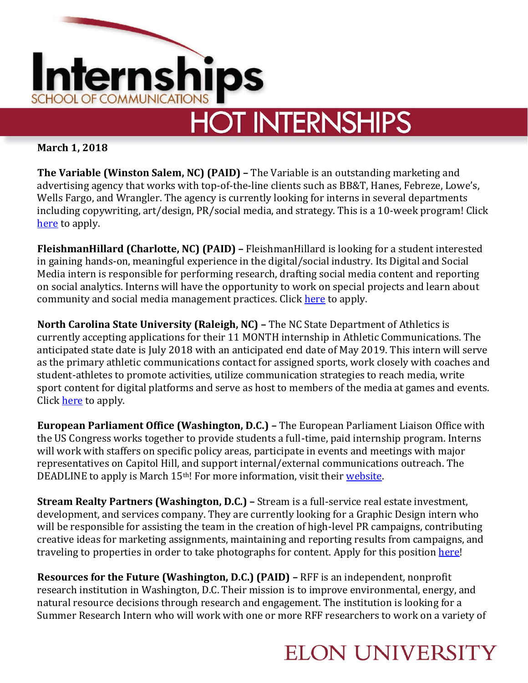

**March 1, 2018**

**The Variable (Winston Salem, NC) (PAID) –** The Variable is an outstanding marketing and advertising agency that works with top-of-the-line clients such as BB&T, Hanes, Febreze, Lowe's, Wells Fargo, and Wrangler. The agency is currently looking for interns in several departments including copywriting, art/design, PR/social media, and strategy. This is a 10-week program! Click [here](http://thevariable.com/internships/) to apply.

**FleishmanHillard (Charlotte, NC) (PAID) –** FleishmanHillard is looking for a student interested in gaining hands-on, meaningful experience in the digital/social industry. Its Digital and Social Media intern is responsible for performing research, drafting social media content and reporting on social analytics. Interns will have the opportunity to work on special projects and learn about community and social media management practices. Click [here](http://fleishmanhillard.com/job/digital-and-social-intern-charlotte/) to apply.

**North Carolina State University (Raleigh, NC) –** The NC State Department of Athletics is currently accepting applications for their 11 MONTH internship in Athletic Communications. The anticipated state date is July 2018 with an anticipated end date of May 2019. This intern will serve as the primary athletic communications contact for assigned sports, work closely with coaches and student-athletes to promote activities, utilize communication strategies to reach media, write sport content for digital platforms and serve as host to members of the media at games and events. Click [here](https://www.linkedin.com/jobs/view/athletics-communications-assistant-intern-at-north-carolina-state-university-609338771) to apply.

**European Parliament Office (Washington, D.C.) –** The European Parliament Liaison Office with the US Congress works together to provide students a full-time, paid internship program. Interns will work with staffers on specific policy areas, participate in events and meetings with major representatives on Capitol Hill, and support internal/external communications outreach. The DEADLINE to apply is March 15<sup>th</sup>! For more information, visit their [website.](http://www.europarl.europa.eu/unitedstates/en/internships)

**Stream Realty Partners (Washington, D.C.) –** Stream is a full-service real estate investment, development, and services company. They are currently looking for a Graphic Design intern who will be responsible for assisting the team in the creation of high-level PR campaigns, contributing creative ideas for marketing assignments, maintaining and reporting results from campaigns, and traveling to properties in order to take photographs for content. Apply for this positio[n here!](http://streamrealty.com/streamcareer/graphicdesignintern/)

**Resources for the Future (Washington, D.C.) (PAID) –** RFF is an independent, nonprofit research institution in Washington, D.C. Their mission is to improve environmental, energy, and natural resource decisions through research and engagement. The institution is looking for a Summer Research Intern who will work with one or more RFF researchers to work on a variety of

## **ELON UNIVERSITY**